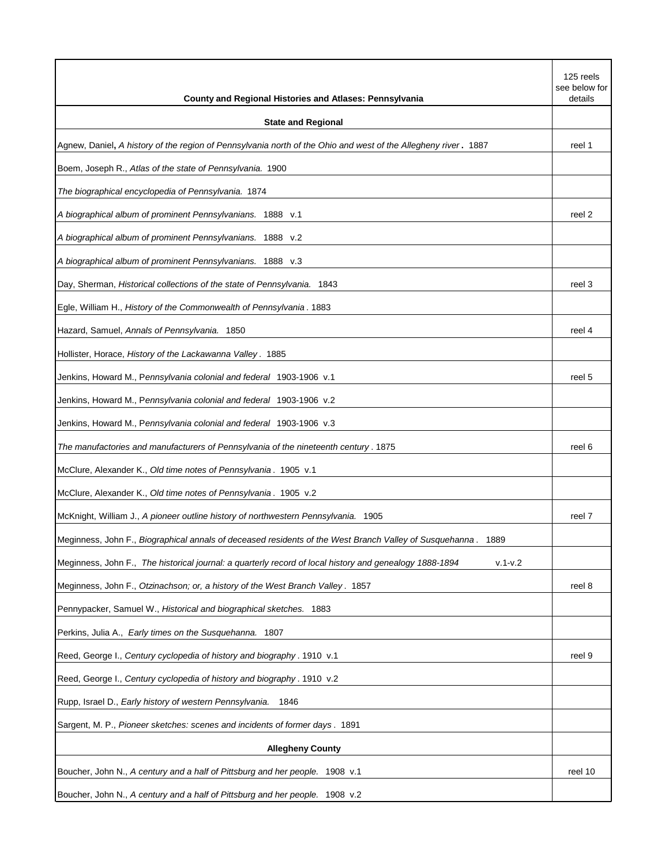| <b>County and Regional Histories and Atlases: Pennsylvania</b>                                                         | 125 reels<br>see below for<br>details |
|------------------------------------------------------------------------------------------------------------------------|---------------------------------------|
| <b>State and Regional</b>                                                                                              |                                       |
| Agnew, Daniel, A history of the region of Pennsylvania north of the Ohio and west of the Allegheny river. 1887         | reel 1                                |
| Boem, Joseph R., Atlas of the state of Pennsylvania. 1900                                                              |                                       |
| The biographical encyclopedia of Pennsylvania. 1874                                                                    |                                       |
| A biographical album of prominent Pennsylvanians. 1888 v.1                                                             | reel 2                                |
| A biographical album of prominent Pennsylvanians. 1888 v.2                                                             |                                       |
| A biographical album of prominent Pennsylvanians. 1888 v.3                                                             |                                       |
| Day, Sherman, Historical collections of the state of Pennsylvania. 1843                                                | reel 3                                |
| Egle, William H., History of the Commonwealth of Pennsylvania. 1883                                                    |                                       |
| Hazard, Samuel, Annals of Pennsylvania. 1850                                                                           | reel 4                                |
| Hollister, Horace, History of the Lackawanna Valley. 1885                                                              |                                       |
| Jenkins, Howard M., P <i>ennsylvania colonial and federal</i> 1903-1906 v.1                                            | reel 5                                |
| Jenkins, Howard M., Pennsylvania colonial and federal 1903-1906 v.2                                                    |                                       |
| Jenkins, Howard M., Pennsylvania colonial and federal 1903-1906 v.3                                                    |                                       |
| The manufactories and manufacturers of Pennsylvania of the nineteenth century . 1875                                   | reel 6                                |
| McClure, Alexander K., Old time notes of Pennsylvania. 1905 v.1                                                        |                                       |
| McClure, Alexander K., Old time notes of Pennsylvania. 1905 v.2                                                        |                                       |
| McKnight, William J., A pioneer outline history of northwestern Pennsylvania. 1905                                     | reel 7                                |
| Meginness, John F., Biographical annals of deceased residents of the West Branch Valley of Susquehanna. 1889           |                                       |
| Meginness, John F., The historical journal: a quarterly record of local history and genealogy 1888-1894<br>$v.1 - v.2$ |                                       |
| Meginness, John F., Otzinachson; or, a history of the West Branch Valley. 1857                                         | reel 8                                |
| Pennypacker, Samuel W., Historical and biographical sketches. 1883                                                     |                                       |
| Perkins, Julia A., Early times on the Susquehanna. 1807                                                                |                                       |
| Reed, George I., Century cyclopedia of history and biography. 1910 v.1                                                 | reel 9                                |
| Reed, George I., Century cyclopedia of history and biography. 1910 v.2                                                 |                                       |
| Rupp, Israel D., Early history of western Pennsylvania.<br>1846                                                        |                                       |
| Sargent, M. P., Pioneer sketches: scenes and incidents of former days. 1891                                            |                                       |
| <b>Allegheny County</b>                                                                                                |                                       |
| Boucher, John N., A century and a half of Pittsburg and her people. 1908 v.1                                           | reel 10                               |
| Boucher, John N., A century and a half of Pittsburg and her people. 1908 v.2                                           |                                       |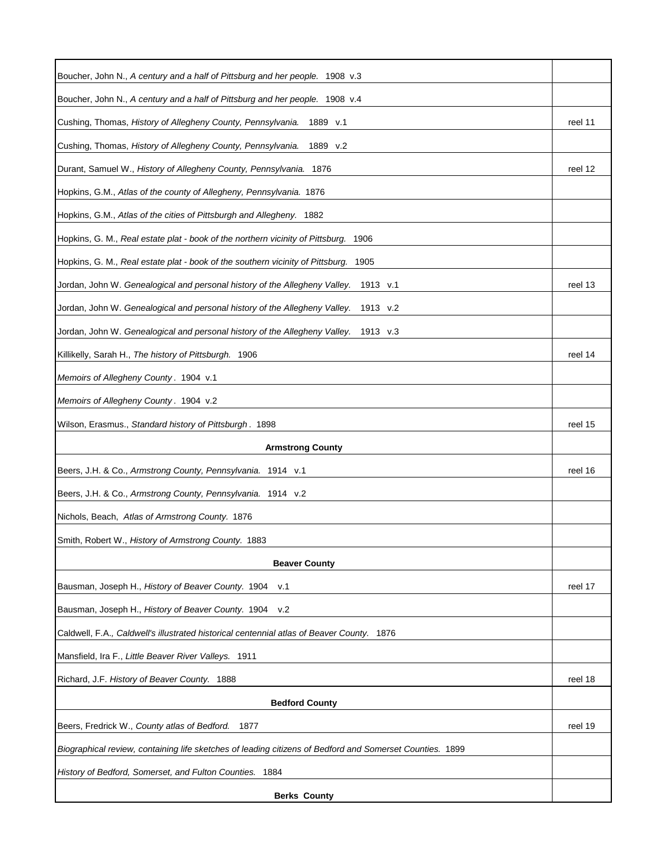| Boucher, John N., A century and a half of Pittsburg and her people. 1908 v.3                             |         |
|----------------------------------------------------------------------------------------------------------|---------|
| Boucher, John N., A century and a half of Pittsburg and her people. 1908 v.4                             |         |
| Cushing, Thomas, History of Allegheny County, Pennsylvania. 1889 v.1                                     | reel 11 |
| Cushing, Thomas, History of Allegheny County, Pennsylvania.<br>1889 v.2                                  |         |
| Durant, Samuel W., History of Allegheny County, Pennsylvania. 1876                                       | reel 12 |
| Hopkins, G.M., Atlas of the county of Allegheny, Pennsylvania. 1876                                      |         |
| Hopkins, G.M., Atlas of the cities of Pittsburgh and Allegheny. 1882                                     |         |
| Hopkins, G. M., Real estate plat - book of the northern vicinity of Pittsburg. 1906                      |         |
| Hopkins, G. M., Real estate plat - book of the southern vicinity of Pittsburg.<br>1905                   |         |
| Jordan, John W. Genealogical and personal history of the Allegheny Valley.<br>1913 v.1                   | reel 13 |
| Jordan, John W. Genealogical and personal history of the Allegheny Valley.<br>1913 v.2                   |         |
| Jordan, John W. Genealogical and personal history of the Allegheny Valley.<br>1913 v.3                   |         |
| Killikelly, Sarah H., The history of Pittsburgh. 1906                                                    | reel 14 |
| Memoirs of Allegheny County. 1904 v.1                                                                    |         |
| Memoirs of Allegheny County. 1904 v.2                                                                    |         |
| Wilson, Erasmus., Standard history of Pittsburgh. 1898                                                   | reel 15 |
| <b>Armstrong County</b>                                                                                  |         |
| Beers, J.H. & Co., Armstrong County, Pennsylvania. 1914 v.1                                              | reel 16 |
| Beers, J.H. & Co., Armstrong County, Pennsylvania. 1914 v.2                                              |         |
| Nichols, Beach, Atlas of Armstrong County. 1876                                                          |         |
| Smith, Robert W., History of Armstrong County. 1883                                                      |         |
| <b>Beaver County</b>                                                                                     |         |
| Bausman, Joseph H., History of Beaver County. 1904<br>v.1                                                | reel 17 |
| v.2<br>Bausman, Joseph H., History of Beaver County. 1904                                                |         |
| Caldwell, F.A., Caldwell's illustrated historical centennial atlas of Beaver County. 1876                |         |
| Mansfield, Ira F., Little Beaver River Valleys. 1911                                                     |         |
| Richard, J.F. History of Beaver County. 1888                                                             | reel 18 |
| <b>Bedford County</b>                                                                                    |         |
| Beers, Fredrick W., County atlas of Bedford.<br>1877                                                     | reel 19 |
| Biographical review, containing life sketches of leading citizens of Bedford and Somerset Counties. 1899 |         |
| History of Bedford, Somerset, and Fulton Counties. 1884                                                  |         |
| <b>Berks County</b>                                                                                      |         |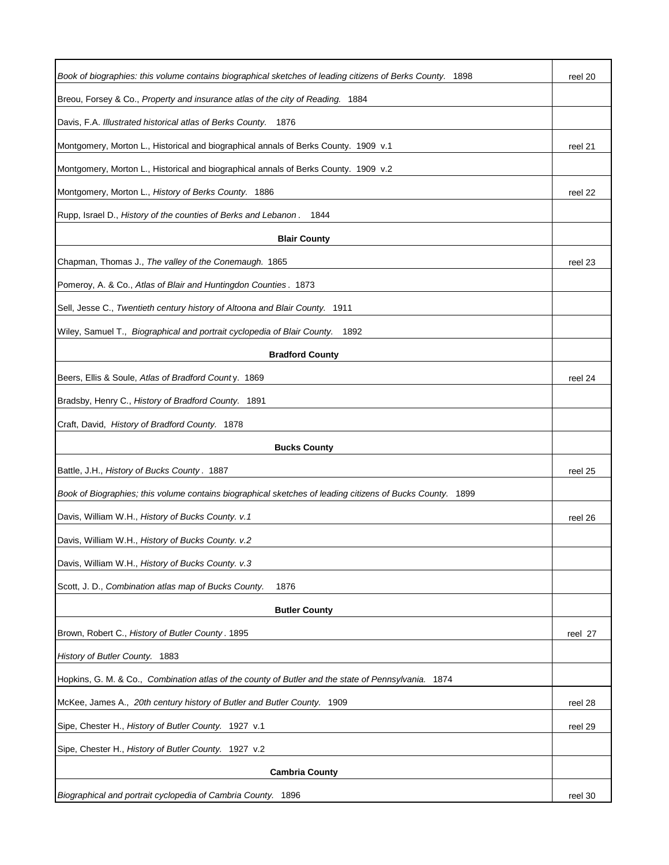| Book of biographies: this volume contains biographical sketches of leading citizens of Berks County. 1898 | reel 20 |
|-----------------------------------------------------------------------------------------------------------|---------|
| Breou, Forsey & Co., Property and insurance atlas of the city of Reading. 1884                            |         |
| Davis, F.A. Illustrated historical atlas of Berks County. 1876                                            |         |
| Montgomery, Morton L., Historical and biographical annals of Berks County. 1909 v.1                       | reel 21 |
| Montgomery, Morton L., Historical and biographical annals of Berks County. 1909 v.2                       |         |
| Montgomery, Morton L., History of Berks County. 1886                                                      | reel 22 |
| Rupp, Israel D., History of the counties of Berks and Lebanon. 1844                                       |         |
| <b>Blair County</b>                                                                                       |         |
| Chapman, Thomas J., The valley of the Conemaugh. 1865                                                     | reel 23 |
| Pomeroy, A. & Co., Atlas of Blair and Huntingdon Counties. 1873                                           |         |
| Sell, Jesse C., Twentieth century history of Altoona and Blair County. 1911                               |         |
| Wiley, Samuel T., Biographical and portrait cyclopedia of Blair County.<br>1892                           |         |
| <b>Bradford County</b>                                                                                    |         |
|                                                                                                           |         |
| Beers, Ellis & Soule, Atlas of Bradford County. 1869                                                      | reel 24 |
| Bradsby, Henry C., History of Bradford County. 1891                                                       |         |
| Craft, David, History of Bradford County. 1878                                                            |         |
| <b>Bucks County</b>                                                                                       |         |
| Battle, J.H., History of Bucks County. 1887                                                               | reel 25 |
| Book of Biographies; this volume contains biographical sketches of leading citizens of Bucks County. 1899 |         |
| Davis, William W.H., History of Bucks County. v.1                                                         | reel 26 |
| Davis, William W.H., History of Bucks County. v.2                                                         |         |
| Davis, William W.H., History of Bucks County. v.3                                                         |         |
| Scott, J. D., Combination atlas map of Bucks County.<br>1876                                              |         |
| <b>Butler County</b>                                                                                      |         |
| Brown, Robert C., History of Butler County. 1895                                                          | reel 27 |
| History of Butler County. 1883                                                                            |         |
| Hopkins, G. M. & Co., Combination atlas of the county of Butler and the state of Pennsylvania. 1874       |         |
| McKee, James A., 20th century history of Butler and Butler County. 1909                                   | reel 28 |
| Sipe, Chester H., History of Butler County. 1927 v.1                                                      | reel 29 |
| Sipe, Chester H., History of Butler County. 1927 v.2                                                      |         |
| <b>Cambria County</b>                                                                                     |         |
| Biographical and portrait cyclopedia of Cambria County. 1896                                              | reel 30 |
|                                                                                                           |         |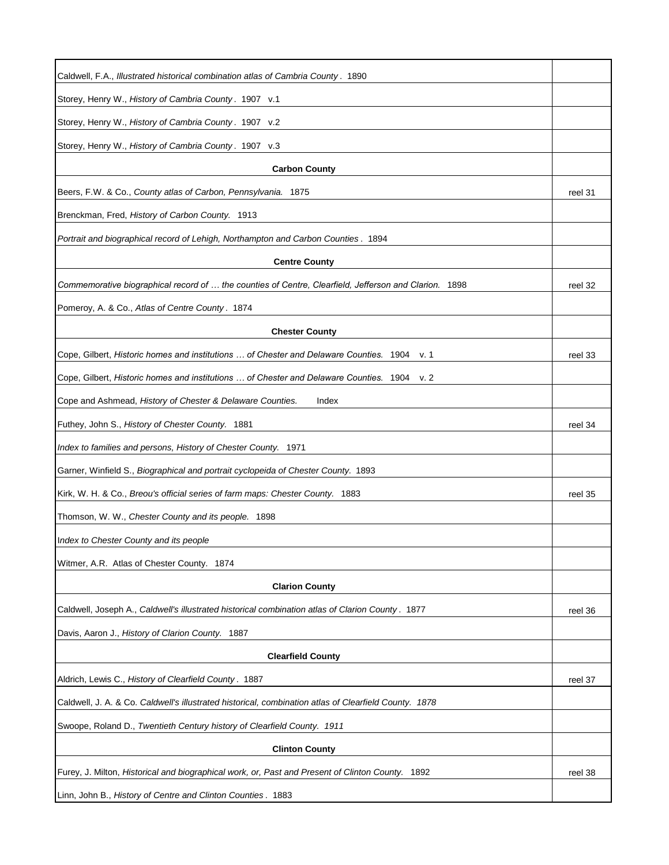| Caldwell, F.A., Illustrated historical combination atlas of Cambria County. 1890                         |         |
|----------------------------------------------------------------------------------------------------------|---------|
| Storey, Henry W., History of Cambria County. 1907 v.1                                                    |         |
| Storey, Henry W., History of Cambria County. 1907 v.2                                                    |         |
| Storey, Henry W., History of Cambria County. 1907 v.3                                                    |         |
| <b>Carbon County</b>                                                                                     |         |
| Beers, F.W. & Co., County atlas of Carbon, Pennsylvania. 1875                                            | reel 31 |
| Brenckman, Fred, History of Carbon County. 1913                                                          |         |
| Portrait and biographical record of Lehigh, Northampton and Carbon Counties . 1894                       |         |
| <b>Centre County</b>                                                                                     |         |
| Commemorative biographical record of  the counties of Centre, Clearfield, Jefferson and Clarion.<br>1898 | reel 32 |
| Pomeroy, A. & Co., Atlas of Centre County. 1874                                                          |         |
| <b>Chester County</b>                                                                                    |         |
| Cope, Gilbert, Historic homes and institutions  of Chester and Delaware Counties. 1904<br>v. 1           | reel 33 |
| Cope, Gilbert, Historic homes and institutions  of Chester and Delaware Counties. 1904<br>v. 2           |         |
| Cope and Ashmead, History of Chester & Delaware Counties.<br>Index                                       |         |
| Futhey, John S., History of Chester County. 1881                                                         | reel 34 |
| Index to families and persons, History of Chester County. 1971                                           |         |
| Garner, Winfield S., Biographical and portrait cyclopeida of Chester County. 1893                        |         |
| Kirk, W. H. & Co., Breou's official series of farm maps: Chester County. 1883                            | reel 35 |
| Thomson, W. W., Chester County and its people. 1898                                                      |         |
| Index to Chester County and its people                                                                   |         |
| Witmer, A.R. Atlas of Chester County. 1874                                                               |         |
| <b>Clarion County</b>                                                                                    |         |
| Caldwell, Joseph A., Caldwell's illustrated historical combination atlas of Clarion County . 1877        | reel 36 |
| Davis, Aaron J., History of Clarion County. 1887                                                         |         |
| <b>Clearfield County</b>                                                                                 |         |
| Aldrich, Lewis C., History of Clearfield County. 1887                                                    | reel 37 |
| Caldwell, J. A. & Co. Caldwell's illustrated historical, combination atlas of Clearfield County. 1878    |         |
| Swoope, Roland D., Twentieth Century history of Clearfield County. 1911                                  |         |
| <b>Clinton County</b>                                                                                    |         |
| Furey, J. Milton, Historical and biographical work, or, Past and Present of Clinton County. 1892         | reel 38 |
| Linn, John B., History of Centre and Clinton Counties. 1883                                              |         |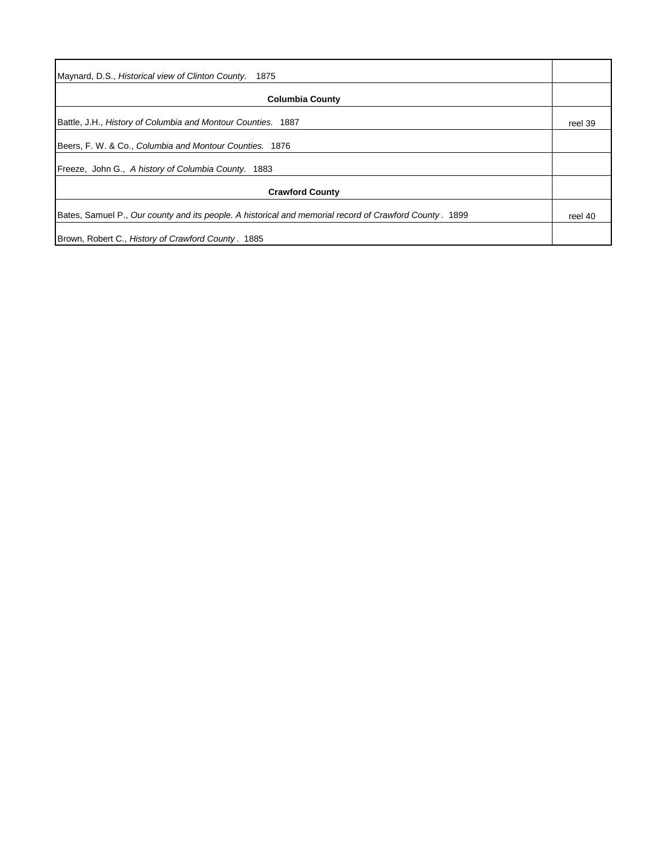| <b>Columbia County</b>                                                                                  |         |
|---------------------------------------------------------------------------------------------------------|---------|
| Battle, J.H., History of Columbia and Montour Counties. 1887                                            | reel 39 |
| Beers, F. W. & Co., Columbia and Montour Counties. 1876                                                 |         |
| Freeze, John G., A history of Columbia County. 1883                                                     |         |
| <b>Crawford County</b>                                                                                  |         |
| Bates, Samuel P., Our county and its people. A historical and memorial record of Crawford County . 1899 | reel 40 |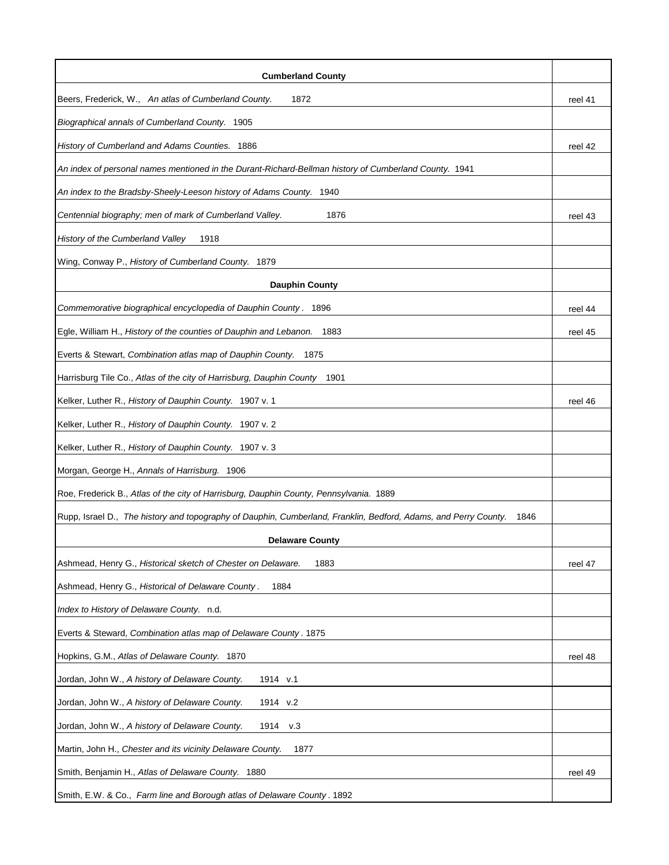| <b>Cumberland County</b>                                                                                                |         |
|-------------------------------------------------------------------------------------------------------------------------|---------|
| Beers, Frederick, W., An atlas of Cumberland County.<br>1872                                                            | reel 41 |
| Biographical annals of Cumberland County. 1905                                                                          |         |
| History of Cumberland and Adams Counties. 1886                                                                          | reel 42 |
| An index of personal names mentioned in the Durant-Richard-Bellman history of Cumberland County. 1941                   |         |
| An index to the Bradsby-Sheely-Leeson history of Adams County. 1940                                                     |         |
| 1876<br>Centennial biography; men of mark of Cumberland Valley.                                                         | reel 43 |
| History of the Cumberland Valley<br>1918                                                                                |         |
| Wing, Conway P., History of Cumberland County. 1879                                                                     |         |
| <b>Dauphin County</b>                                                                                                   |         |
| Commemorative biographical encyclopedia of Dauphin County. 1896                                                         | reel 44 |
| Egle, William H., History of the counties of Dauphin and Lebanon.<br>1883                                               | reel 45 |
| Everts & Stewart, Combination atlas map of Dauphin County. 1875                                                         |         |
| Harrisburg Tile Co., Atlas of the city of Harrisburg, Dauphin County<br>1901                                            |         |
| Kelker, Luther R., History of Dauphin County. 1907 v. 1                                                                 | reel 46 |
| Kelker, Luther R., History of Dauphin County. 1907 v. 2                                                                 |         |
| Kelker, Luther R., History of Dauphin County. 1907 v. 3                                                                 |         |
| Morgan, George H., Annals of Harrisburg. 1906                                                                           |         |
| Roe, Frederick B., Atlas of the city of Harrisburg, Dauphin County, Pennsylvania. 1889                                  |         |
| Rupp, Israel D., The history and topography of Dauphin, Cumberland, Franklin, Bedford, Adams, and Perry County.<br>1846 |         |
| <b>Delaware County</b>                                                                                                  |         |
| 1883<br>Ashmead, Henry G., Historical sketch of Chester on Delaware.                                                    | reel 47 |
| Ashmead, Henry G., Historical of Delaware County.<br>1884                                                               |         |
| Index to History of Delaware County. n.d.                                                                               |         |
| Everts & Steward, Combination atlas map of Delaware County. 1875                                                        |         |
| Hopkins, G.M., Atlas of Delaware County. 1870                                                                           | reel 48 |
| Jordan, John W., A history of Delaware County.<br>1914 v.1                                                              |         |
| Jordan, John W., A history of Delaware County.<br>1914 v.2                                                              |         |
| Jordan, John W., A history of Delaware County.<br>1914<br>v.3                                                           |         |
| Martin, John H., Chester and its vicinity Delaware County.<br>1877                                                      |         |
| Smith, Benjamin H., Atlas of Delaware County. 1880                                                                      | reel 49 |
| Smith, E.W. & Co., Farm line and Borough atlas of Delaware County. 1892                                                 |         |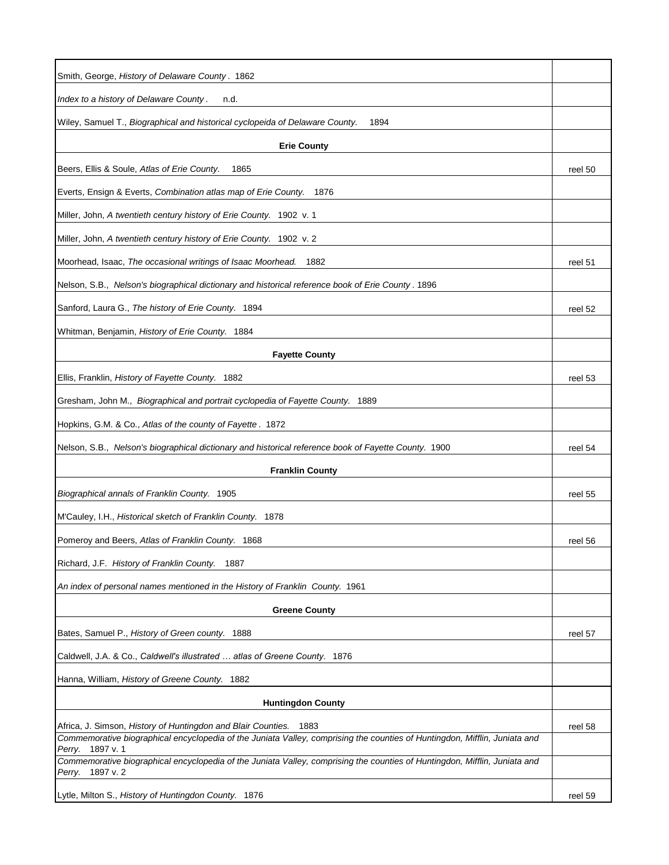| Smith, George, History of Delaware County. 1862                                                                                                   |         |
|---------------------------------------------------------------------------------------------------------------------------------------------------|---------|
| Index to a history of Delaware County.<br>n.d.                                                                                                    |         |
| Wiley, Samuel T., Biographical and historical cyclopeida of Delaware County.<br>1894                                                              |         |
| <b>Erie County</b>                                                                                                                                |         |
| Beers, Ellis & Soule, Atlas of Erie County.<br>1865                                                                                               | reel 50 |
| Everts, Ensign & Everts, Combination atlas map of Erie County.<br>1876                                                                            |         |
| Miller, John, A twentieth century history of Erie County. 1902 v. 1                                                                               |         |
| Miller, John, A twentieth century history of Erie County. 1902 v. 2                                                                               |         |
| Moorhead, Isaac, The occasional writings of Isaac Moorhead.<br>1882                                                                               | reel 51 |
| Nelson, S.B., Nelson's biographical dictionary and historical reference book of Erie County. 1896                                                 |         |
| Sanford, Laura G., The history of Erie County. 1894                                                                                               | reel 52 |
| Whitman, Benjamin, History of Erie County. 1884                                                                                                   |         |
| <b>Fayette County</b>                                                                                                                             |         |
| Ellis, Franklin, History of Fayette County. 1882                                                                                                  | reel 53 |
| Gresham, John M., Biographical and portrait cyclopedia of Fayette County. 1889                                                                    |         |
| Hopkins, G.M. & Co., Atlas of the county of Fayette. 1872                                                                                         |         |
| Nelson, S.B., Nelson's biographical dictionary and historical reference book of Fayette County. 1900                                              | reel 54 |
| <b>Franklin County</b>                                                                                                                            |         |
| Biographical annals of Franklin County. 1905                                                                                                      | reel 55 |
| M'Cauley, I.H., Historical sketch of Franklin County. 1878                                                                                        |         |
| Pomeroy and Beers, Atlas of Franklin County. 1868                                                                                                 | reel 56 |
| Richard, J.F. History of Franklin County. 1887                                                                                                    |         |
| An index of personal names mentioned in the History of Franklin County. 1961                                                                      |         |
| <b>Greene County</b>                                                                                                                              |         |
| Bates, Samuel P., History of Green county. 1888                                                                                                   | reel 57 |
| Caldwell, J.A. & Co., Caldwell's illustrated  atlas of Greene County. 1876                                                                        |         |
| Hanna, William, History of Greene County. 1882                                                                                                    |         |
| <b>Huntingdon County</b>                                                                                                                          |         |
| Africa, J. Simson, History of Huntingdon and Blair Counties.<br>1883                                                                              | reel 58 |
| Commemorative biographical encyclopedia of the Juniata Valley, comprising the counties of Huntingdon, Mifflin, Juniata and<br>1897 v. 1<br>Perry. |         |
| Commemorative biographical encyclopedia of the Juniata Valley, comprising the counties of Huntingdon, Mifflin, Juniata and<br>1897 v. 2<br>Perry. |         |
| Lytle, Milton S., History of Huntingdon County. 1876                                                                                              | reel 59 |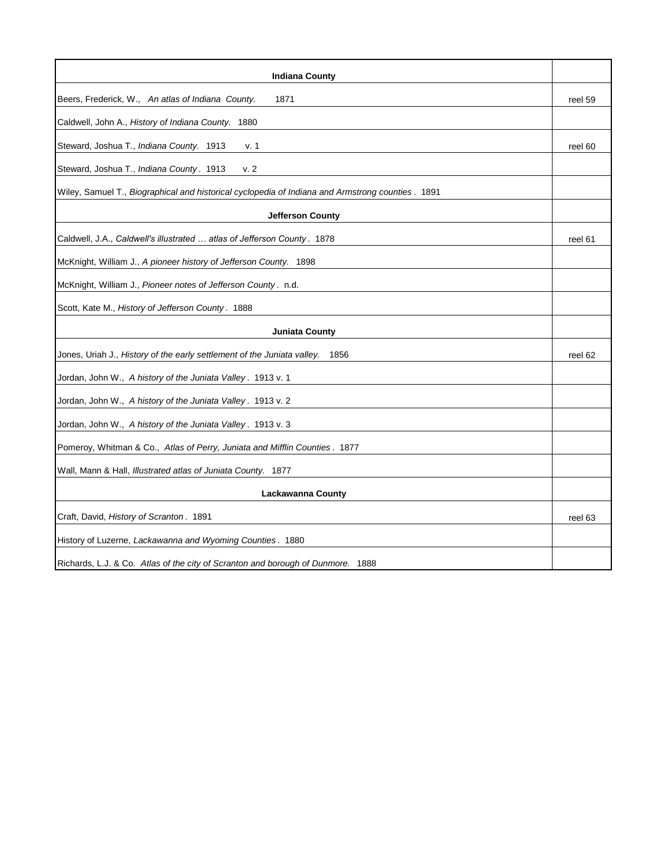| <b>Indiana County</b>                                                                            |         |
|--------------------------------------------------------------------------------------------------|---------|
| Beers, Frederick, W., An atlas of Indiana County.<br>1871                                        | reel 59 |
| Caldwell, John A., History of Indiana County. 1880                                               |         |
| Steward, Joshua T., Indiana County. 1913<br>v. 1                                                 | reel 60 |
| v. 2<br>Steward, Joshua T., Indiana County. 1913                                                 |         |
| Wiley, Samuel T., Biographical and historical cyclopedia of Indiana and Armstrong counties. 1891 |         |
| <b>Jefferson County</b>                                                                          |         |
| Caldwell, J.A., Caldwell's illustrated  atlas of Jefferson County. 1878                          | reel 61 |
| McKnight, William J., A pioneer history of Jefferson County. 1898                                |         |
| McKnight, William J., Pioneer notes of Jefferson County. n.d.                                    |         |
| Scott, Kate M., History of Jefferson County. 1888                                                |         |
| <b>Juniata County</b>                                                                            |         |
| Jones, Uriah J., History of the early settlement of the Juniata valley.<br>1856                  | reel 62 |
| Jordan, John W., A history of the Juniata Valley. 1913 v. 1                                      |         |
| Jordan, John W., A history of the Juniata Valley. 1913 v. 2                                      |         |
| Jordan, John W., A history of the Juniata Valley. 1913 v. 3                                      |         |
| Pomeroy, Whitman & Co., Atlas of Perry, Juniata and Mifflin Counties. 1877                       |         |
| Wall, Mann & Hall, Illustrated atlas of Juniata County. 1877                                     |         |
| Lackawanna County                                                                                |         |
| Craft, David, History of Scranton. 1891                                                          | reel 63 |
| History of Luzerne, Lackawanna and Wyoming Counties. 1880                                        |         |
| Richards, L.J. & Co. Atlas of the city of Scranton and borough of Dunmore. 1888                  |         |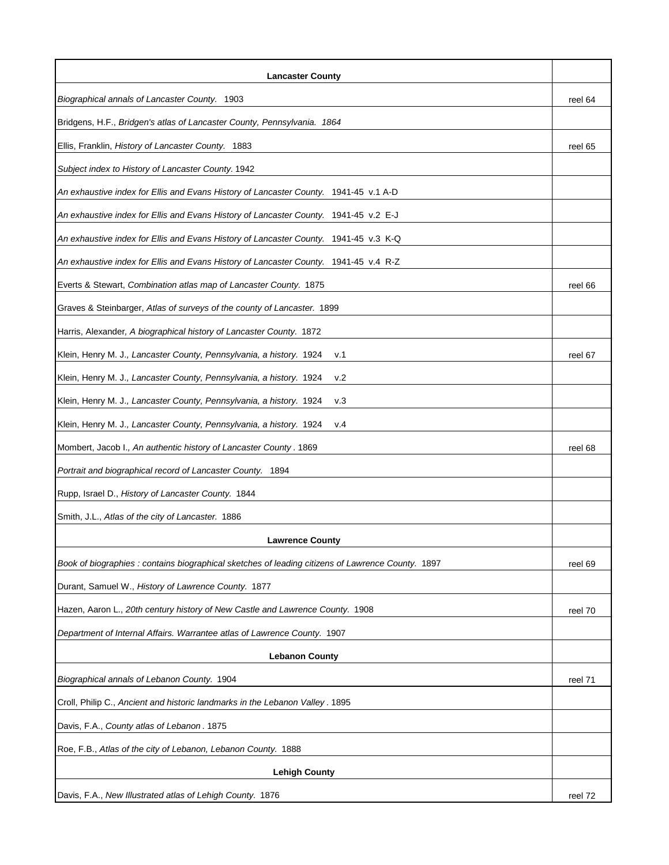| <b>Lancaster County</b>                                                                           |         |
|---------------------------------------------------------------------------------------------------|---------|
| Biographical annals of Lancaster County. 1903                                                     | reel 64 |
| Bridgens, H.F., Bridgen's atlas of Lancaster County, Pennsylvania. 1864                           |         |
| Ellis, Franklin, History of Lancaster County. 1883                                                | reel 65 |
| Subject index to History of Lancaster County. 1942                                                |         |
| An exhaustive index for Ellis and Evans History of Lancaster County. 1941-45 v.1 A-D              |         |
| An exhaustive index for Ellis and Evans History of Lancaster County. 1941-45 v.2 E-J              |         |
| An exhaustive index for Ellis and Evans History of Lancaster County. 1941-45 v.3 K-Q              |         |
| An exhaustive index for Ellis and Evans History of Lancaster County. 1941-45 v.4 R-Z              |         |
| Everts & Stewart, Combination atlas map of Lancaster County. 1875                                 | reel 66 |
| Graves & Steinbarger, Atlas of surveys of the county of Lancaster. 1899                           |         |
| Harris, Alexander, A biographical history of Lancaster County. 1872                               |         |
| Klein, Henry M. J., Lancaster County, Pennsylvania, a history. 1924<br>v.1                        | reel 67 |
| Klein, Henry M. J., Lancaster County, Pennsylvania, a history. 1924<br>V.2                        |         |
| Klein, Henry M. J., Lancaster County, Pennsylvania, a history. 1924<br>v.3                        |         |
| Klein, Henry M. J., Lancaster County, Pennsylvania, a history. 1924<br>v.4                        |         |
| Mombert, Jacob I., An authentic history of Lancaster County. 1869                                 | reel 68 |
| Portrait and biographical record of Lancaster County. 1894                                        |         |
| Rupp, Israel D., History of Lancaster County. 1844                                                |         |
| Smith, J.L., Atlas of the city of Lancaster. 1886                                                 |         |
| <b>Lawrence County</b>                                                                            |         |
| Book of biographies : contains biographical sketches of leading citizens of Lawrence County. 1897 | reel 69 |
| Durant, Samuel W., History of Lawrence County. 1877                                               |         |
| Hazen, Aaron L., 20th century history of New Castle and Lawrence County. 1908                     | reel 70 |
| Department of Internal Affairs. Warrantee atlas of Lawrence County. 1907                          |         |
| <b>Lebanon County</b>                                                                             |         |
| Biographical annals of Lebanon County. 1904                                                       | reel 71 |
| Croll, Philip C., Ancient and historic landmarks in the Lebanon Valley. 1895                      |         |
| Davis, F.A., County atlas of Lebanon. 1875                                                        |         |
| Roe, F.B., Atlas of the city of Lebanon, Lebanon County. 1888                                     |         |
| <b>Lehigh County</b>                                                                              |         |
| Davis, F.A., New Illustrated atlas of Lehigh County. 1876                                         | reel 72 |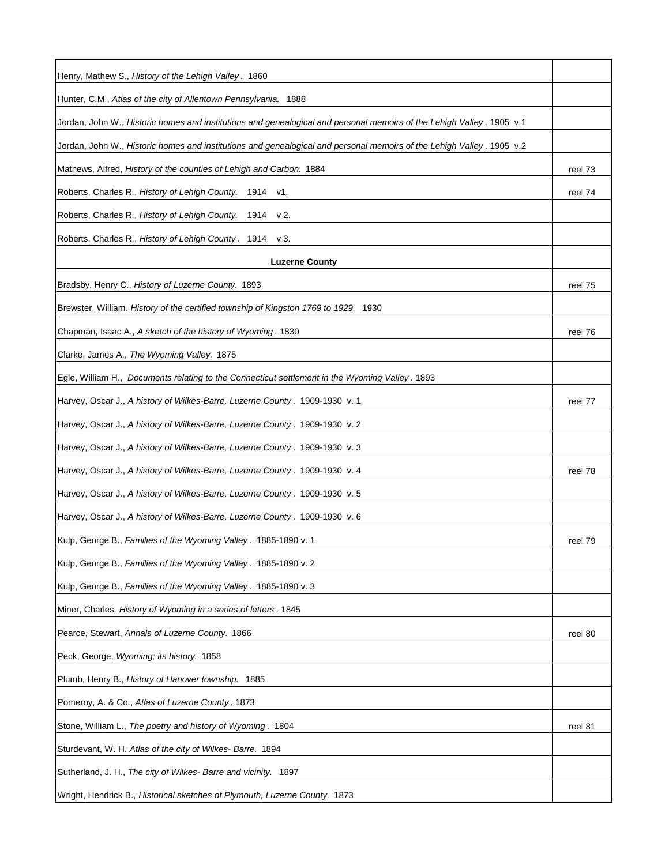| Henry, Mathew S., History of the Lehigh Valley. 1860                                                                  |         |
|-----------------------------------------------------------------------------------------------------------------------|---------|
| Hunter, C.M., Atlas of the city of Allentown Pennsylvania. 1888                                                       |         |
| Jordan, John W., Historic homes and institutions and genealogical and personal memoirs of the Lehigh Valley. 1905 v.1 |         |
| Jordan, John W., Historic homes and institutions and genealogical and personal memoirs of the Lehigh Valley. 1905 v.2 |         |
| Mathews, Alfred, History of the counties of Lehigh and Carbon. 1884                                                   | reel 73 |
| Roberts, Charles R., History of Lehigh County. 1914 v1.                                                               | reel 74 |
| Roberts, Charles R., History of Lehigh County. 1914 v 2.                                                              |         |
| Roberts, Charles R., History of Lehigh County. 1914 v 3.                                                              |         |
| <b>Luzerne County</b>                                                                                                 |         |
| Bradsby, Henry C., History of Luzerne County. 1893                                                                    | reel 75 |
| Brewster, William. History of the certified township of Kingston 1769 to 1929. 1930                                   |         |
| Chapman, Isaac A., A sketch of the history of Wyoming. 1830                                                           | reel 76 |
| Clarke, James A., The Wyoming Valley. 1875                                                                            |         |
| Egle, William H., Documents relating to the Connecticut settlement in the Wyoming Valley. 1893                        |         |
| Harvey, Oscar J., A history of Wilkes-Barre, Luzerne County. 1909-1930 v. 1                                           | reel 77 |
| Harvey, Oscar J., A history of Wilkes-Barre, Luzerne County. 1909-1930 v. 2                                           |         |
| Harvey, Oscar J., A history of Wilkes-Barre, Luzerne County. 1909-1930 v. 3                                           |         |
| Harvey, Oscar J., A history of Wilkes-Barre, Luzerne County. 1909-1930 v. 4                                           | reel 78 |
| Harvey, Oscar J., A history of Wilkes-Barre, Luzerne County. 1909-1930 v. 5                                           |         |
| Harvey, Oscar J., A history of Wilkes-Barre, Luzerne County. 1909-1930 v. 6                                           |         |
| Kulp, George B., Families of the Wyoming Valley. 1885-1890 v. 1                                                       | reel 79 |
| Kulp, George B., Families of the Wyoming Valley. 1885-1890 v. 2                                                       |         |
| Kulp, George B., Families of the Wyoming Valley. 1885-1890 v. 3                                                       |         |
| Miner, Charles. History of Wyoming in a series of letters. 1845                                                       |         |
| Pearce, Stewart, Annals of Luzerne County. 1866                                                                       | reel 80 |
| Peck, George, Wyoming; its history. 1858                                                                              |         |
| Plumb, Henry B., History of Hanover township. 1885                                                                    |         |
| Pomeroy, A. & Co., Atlas of Luzerne County. 1873                                                                      |         |
| Stone, William L., The poetry and history of Wyoming. 1804                                                            | reel 81 |
| Sturdevant, W. H. Atlas of the city of Wilkes-Barre. 1894                                                             |         |
| Sutherland, J. H., The city of Wilkes-Barre and vicinity. 1897                                                        |         |
| Wright, Hendrick B., Historical sketches of Plymouth, Luzerne County. 1873                                            |         |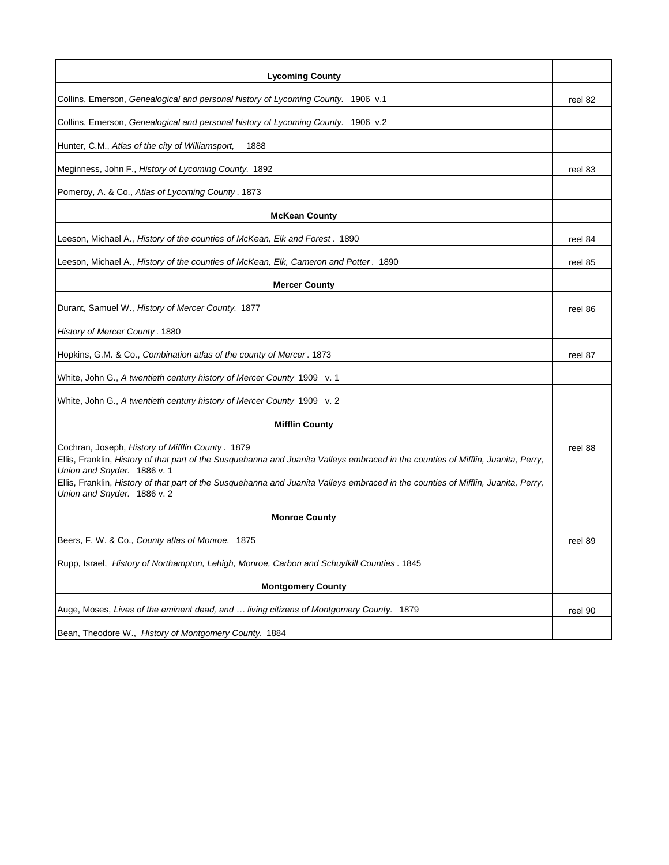| <b>Lycoming County</b>                                                                                                                                           |         |
|------------------------------------------------------------------------------------------------------------------------------------------------------------------|---------|
| Collins, Emerson, Genealogical and personal history of Lycoming County. 1906 v.1                                                                                 | reel 82 |
| Collins, Emerson, Genealogical and personal history of Lycoming County. 1906 v.2                                                                                 |         |
| Hunter, C.M., Atlas of the city of Williamsport,<br>1888                                                                                                         |         |
| Meginness, John F., History of Lycoming County. 1892                                                                                                             | reel 83 |
| Pomeroy, A. & Co., Atlas of Lycoming County. 1873                                                                                                                |         |
| <b>McKean County</b>                                                                                                                                             |         |
| Leeson, Michael A., History of the counties of McKean, Elk and Forest. 1890                                                                                      | reel 84 |
| Leeson, Michael A., History of the counties of McKean, Elk, Cameron and Potter. 1890                                                                             | reel 85 |
| <b>Mercer County</b>                                                                                                                                             |         |
| Durant, Samuel W., History of Mercer County. 1877                                                                                                                | reel 86 |
| History of Mercer County. 1880                                                                                                                                   |         |
| Hopkins, G.M. & Co., Combination atlas of the county of Mercer. 1873                                                                                             | reel 87 |
| White, John G., A twentieth century history of Mercer County 1909 v. 1                                                                                           |         |
| White, John G., A twentieth century history of Mercer County 1909 v. 2                                                                                           |         |
| <b>Mifflin County</b>                                                                                                                                            |         |
| Cochran, Joseph, History of Mifflin County. 1879                                                                                                                 | reel 88 |
| Ellis, Franklin, History of that part of the Susquehanna and Juanita Valleys embraced in the counties of Mifflin, Juanita, Perry,<br>Union and Snyder. 1886 v. 1 |         |
| Ellis, Franklin, History of that part of the Susquehanna and Juanita Valleys embraced in the counties of Mifflin, Juanita, Perry,<br>Union and Snyder. 1886 v. 2 |         |
| <b>Monroe County</b>                                                                                                                                             |         |
| Beers, F. W. & Co., County atlas of Monroe. 1875                                                                                                                 | reel 89 |
| Rupp, Israel, History of Northampton, Lehigh, Monroe, Carbon and Schuylkill Counties. 1845                                                                       |         |
| <b>Montgomery County</b>                                                                                                                                         |         |
| Auge, Moses, Lives of the eminent dead, and  living citizens of Montgomery County. 1879                                                                          | reel 90 |
| Bean, Theodore W., History of Montgomery County. 1884                                                                                                            |         |
|                                                                                                                                                                  |         |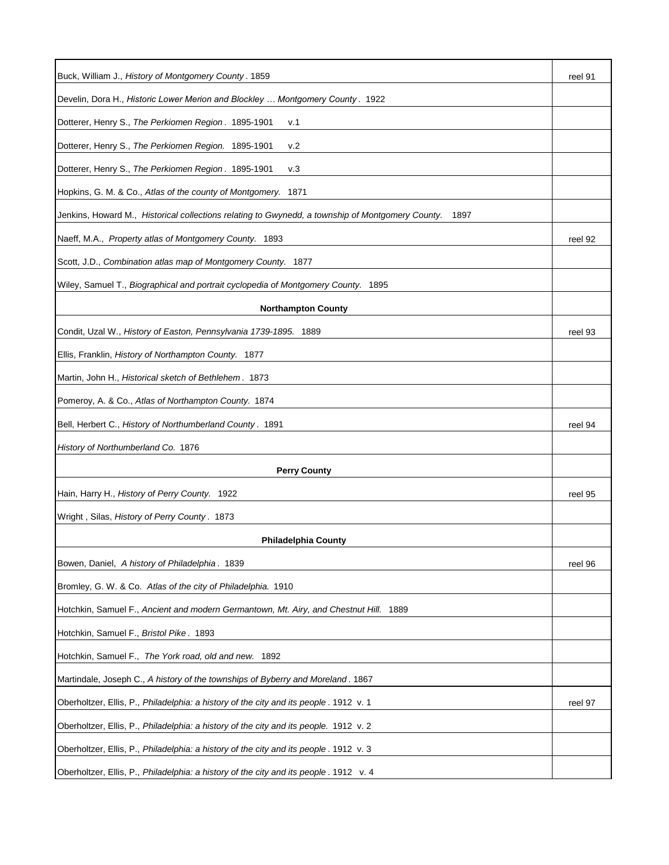| Buck, William J., History of Montgomery County. 1859                                                     | reel 91 |
|----------------------------------------------------------------------------------------------------------|---------|
| Develin, Dora H., Historic Lower Merion and Blockley  Montgomery County . 1922                           |         |
| Dotterer, Henry S., The Perkiomen Region. 1895-1901<br>v.1                                               |         |
| Dotterer, Henry S., The Perkiomen Region. 1895-1901<br>v.2                                               |         |
| Dotterer, Henry S., The Perkiomen Region. 1895-1901<br>v.3                                               |         |
| Hopkins, G. M. & Co., Atlas of the county of Montgomery. 1871                                            |         |
| Jenkins, Howard M., Historical collections relating to Gwynedd, a township of Montgomery County.<br>1897 |         |
| Naeff, M.A., Property atlas of Montgomery County. 1893                                                   | reel 92 |
| Scott, J.D., Combination atlas map of Montgomery County. 1877                                            |         |
| Wiley, Samuel T., Biographical and portrait cyclopedia of Montgomery County. 1895                        |         |
| <b>Northampton County</b>                                                                                |         |
| Condit, Uzal W., History of Easton, Pennsylvania 1739-1895. 1889                                         | reel 93 |
| Ellis, Franklin, History of Northampton County. 1877                                                     |         |
| Martin, John H., Historical sketch of Bethlehem. 1873                                                    |         |
| Pomeroy, A. & Co., Atlas of Northampton County. 1874                                                     |         |
| Bell, Herbert C., History of Northumberland County. 1891                                                 | reel 94 |
| History of Northumberland Co. 1876                                                                       |         |
| <b>Perry County</b>                                                                                      |         |
| Hain, Harry H., History of Perry County. 1922                                                            | reel 95 |
| Wright, Silas, History of Perry County. 1873                                                             |         |
| <b>Philadelphia County</b>                                                                               |         |
| Bowen, Daniel, A history of Philadelphia. 1839                                                           | reel 96 |
| Bromley, G. W. & Co. Atlas of the city of Philadelphia. 1910                                             |         |
| Hotchkin, Samuel F., Ancient and modern Germantown, Mt. Airy, and Chestnut Hill.<br>1889                 |         |
| Hotchkin, Samuel F., Bristol Pike. 1893                                                                  |         |
| Hotchkin, Samuel F., The York road, old and new. 1892                                                    |         |
| Martindale, Joseph C., A history of the townships of Byberry and Moreland. 1867                          |         |
| Oberholtzer, Ellis, P., Philadelphia: a history of the city and its people. 1912 v. 1                    | reel 97 |
| Oberholtzer, Ellis, P., Philadelphia: a history of the city and its people. 1912 v. 2                    |         |
| Oberholtzer, Ellis, P., Philadelphia: a history of the city and its people. 1912 v. 3                    |         |
| Oberholtzer, Ellis, P., Philadelphia: a history of the city and its people. 1912 v. 4                    |         |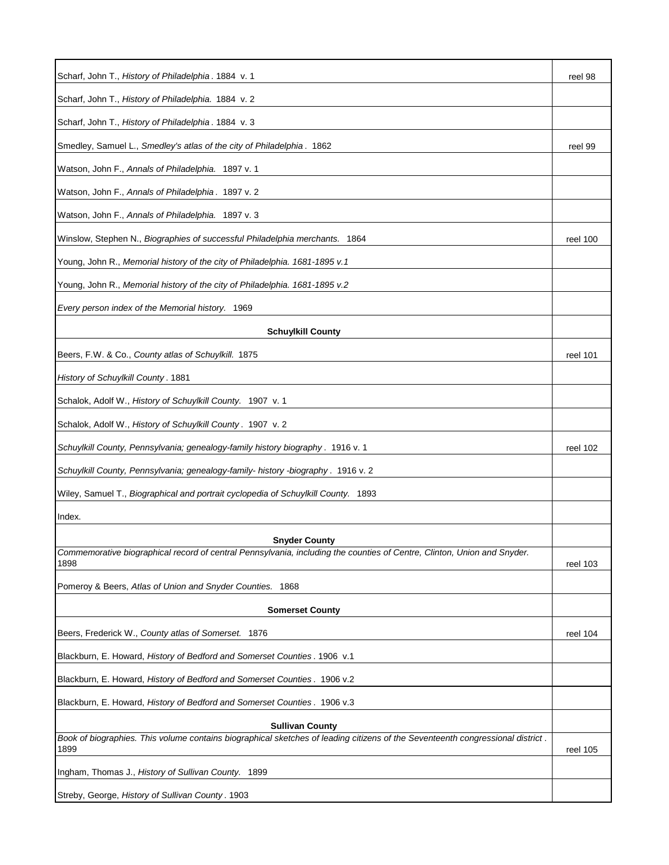| Scharf, John T., History of Philadelphia. 1884 v. 1                                                                                             | reel 98  |
|-------------------------------------------------------------------------------------------------------------------------------------------------|----------|
| Scharf, John T., History of Philadelphia. 1884 v. 2                                                                                             |          |
| Scharf, John T., History of Philadelphia. 1884 v. 3                                                                                             |          |
| Smedley, Samuel L., Smedley's atlas of the city of Philadelphia. 1862                                                                           | reel 99  |
| Watson, John F., Annals of Philadelphia. 1897 v. 1                                                                                              |          |
| Watson, John F., Annals of Philadelphia. 1897 v. 2                                                                                              |          |
| Watson, John F., Annals of Philadelphia. 1897 v. 3                                                                                              |          |
| Winslow, Stephen N., Biographies of successful Philadelphia merchants. 1864                                                                     | reel 100 |
| Young, John R., Memorial history of the city of Philadelphia. 1681-1895 v.1                                                                     |          |
| Young, John R., Memorial history of the city of Philadelphia. 1681-1895 v.2                                                                     |          |
| Every person index of the Memorial history. 1969                                                                                                |          |
| <b>Schuylkill County</b>                                                                                                                        |          |
| Beers, F.W. & Co., County atlas of Schuylkill. 1875                                                                                             | reel 101 |
| History of Schuylkill County. 1881                                                                                                              |          |
| Schalok, Adolf W., History of Schuylkill County. 1907 v. 1                                                                                      |          |
| Schalok, Adolf W., History of Schuylkill County. 1907 v. 2                                                                                      |          |
| Schuylkill County, Pennsylvania; genealogy-family history biography . 1916 v. 1                                                                 | reel 102 |
| Schuylkill County, Pennsylvania; genealogy-family- history -biography . 1916 v. 2                                                               |          |
| Wiley, Samuel T., Biographical and portrait cyclopedia of Schuylkill County. 1893                                                               |          |
| Index.                                                                                                                                          |          |
|                                                                                                                                                 |          |
| <b>Snyder County</b><br>Commemorative biographical record of central Pennsylvania, including the counties of Centre, Clinton, Union and Snyder. |          |
| 1898                                                                                                                                            | reel 103 |
| Pomeroy & Beers, Atlas of Union and Snyder Counties. 1868                                                                                       |          |
| <b>Somerset County</b>                                                                                                                          |          |
| Beers, Frederick W., County atlas of Somerset. 1876                                                                                             | reel 104 |
| Blackburn, E. Howard, History of Bedford and Somerset Counties. 1906 v.1                                                                        |          |
| Blackburn, E. Howard, History of Bedford and Somerset Counties. 1906 v.2                                                                        |          |
| Blackburn, E. Howard, History of Bedford and Somerset Counties. 1906 v.3                                                                        |          |
| <b>Sullivan County</b>                                                                                                                          |          |
| Book of biographies. This volume contains biographical sketches of leading citizens of the Seventeenth congressional district.<br>1899          | reel 105 |
| Ingham, Thomas J., History of Sullivan County. 1899                                                                                             |          |
| Streby, George, History of Sullivan County. 1903                                                                                                |          |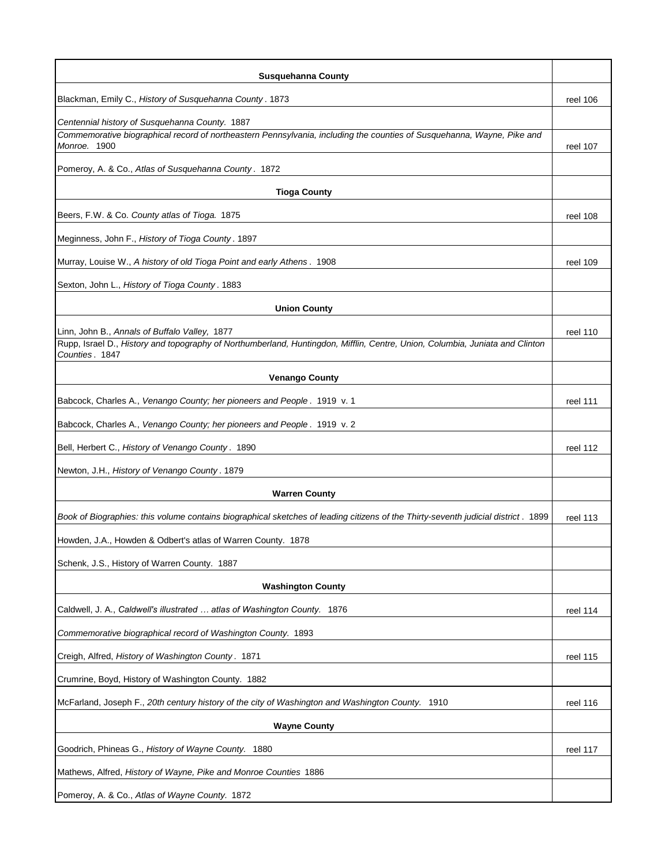| <b>Susquehanna County</b>                                                                                                                      |          |
|------------------------------------------------------------------------------------------------------------------------------------------------|----------|
| Blackman, Emily C., History of Susquehanna County. 1873                                                                                        | reel 106 |
| Centennial history of Susquehanna County. 1887                                                                                                 |          |
| Commemorative biographical record of northeastern Pennsylvania, including the counties of Susquehanna, Wayne, Pike and<br>Monroe. 1900         | reel 107 |
| Pomeroy, A. & Co., Atlas of Susquehanna County. 1872                                                                                           |          |
| <b>Tioga County</b>                                                                                                                            |          |
| Beers, F.W. & Co. County atlas of Tioga. 1875                                                                                                  | reel 108 |
| Meginness, John F., History of Tioga County. 1897                                                                                              |          |
| Murray, Louise W., A history of old Tioga Point and early Athens. 1908                                                                         | reel 109 |
| Sexton, John L., History of Tioga County. 1883                                                                                                 |          |
| <b>Union County</b>                                                                                                                            |          |
| Linn, John B., Annals of Buffalo Valley, 1877                                                                                                  | reel 110 |
| Rupp, Israel D., History and topography of Northumberland, Huntingdon, Mifflin, Centre, Union, Columbia, Juniata and Clinton<br>Counties. 1847 |          |
| <b>Venango County</b>                                                                                                                          |          |
| Babcock, Charles A., Venango County; her pioneers and People. 1919 v. 1                                                                        | reel 111 |
| Babcock, Charles A., Venango County; her pioneers and People. 1919 v. 2                                                                        |          |
| Bell, Herbert C., History of Venango County. 1890                                                                                              | reel 112 |
| Newton, J.H., History of Venango County. 1879                                                                                                  |          |
| <b>Warren County</b>                                                                                                                           |          |
| Book of Biographies: this volume contains biographical sketches of leading citizens of the Thirty-seventh judicial district. 1899              | reel 113 |
| Howden, J.A., Howden & Odbert's atlas of Warren County. 1878                                                                                   |          |
| Schenk, J.S., History of Warren County. 1887                                                                                                   |          |
| <b>Washington County</b>                                                                                                                       |          |
| Caldwell, J. A., Caldwell's illustrated  atlas of Washington County. 1876                                                                      | reel 114 |
| Commemorative biographical record of Washington County. 1893                                                                                   |          |
| Creigh, Alfred, History of Washington County. 1871                                                                                             | reel 115 |
| Crumrine, Boyd, History of Washington County. 1882                                                                                             |          |
| McFarland, Joseph F., 20th century history of the city of Washington and Washington County. 1910                                               | reel 116 |
| <b>Wayne County</b>                                                                                                                            |          |
| Goodrich, Phineas G., History of Wayne County. 1880                                                                                            | reel 117 |
| Mathews, Alfred, History of Wayne, Pike and Monroe Counties 1886                                                                               |          |
| Pomeroy, A. & Co., Atlas of Wayne County. 1872                                                                                                 |          |